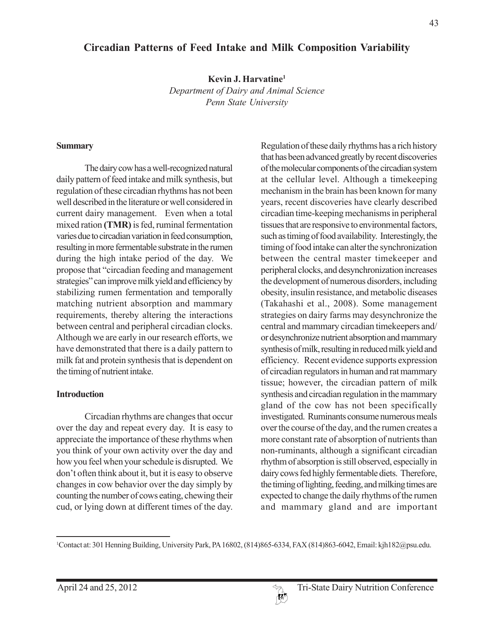# **Circadian Patterns of Feed Intake and Milk Composition Variability**

**Kevin J. Harvatine1**

*Department of Dairy and Animal Science Penn State University*

#### **Summary**

The dairy cow has a well-recognized natural daily pattern of feed intake and milk synthesis, but regulation of these circadian rhythms has not been well described in the literature or well considered in current dairy management. Even when a total mixed ration **(TMR)** is fed, ruminal fermentation varies due to circadian variation in feed consumption, resulting in more fermentable substrate in the rumen during the high intake period of the day. We propose that "circadian feeding and management strategies" can improve milk yield and efficiency by stabilizing rumen fermentation and temporally matching nutrient absorption and mammary requirements, thereby altering the interactions between central and peripheral circadian clocks. Although we are early in our research efforts, we have demonstrated that there is a daily pattern to milk fat and protein synthesis that is dependent on the timing of nutrient intake.

### **Introduction**

Circadian rhythms are changes that occur over the day and repeat every day. It is easy to appreciate the importance of these rhythms when you think of your own activity over the day and how you feel when your schedule is disrupted. We don't often think about it, but it is easy to observe changes in cow behavior over the day simply by counting the number of cows eating, chewing their cud, or lying down at different times of the day. Regulation of these daily rhythms has a rich history that has been advanced greatly by recent discoveries of the molecular components of the circadian system at the cellular level. Although a timekeeping mechanism in the brain has been known for many years, recent discoveries have clearly described circadian time-keeping mechanisms in peripheral tissues that are responsive to environmental factors, such as timing of food availability. Interestingly, the timing of food intake can alter the synchronization between the central master timekeeper and peripheral clocks, and desynchronization increases the development of numerous disorders, including obesity, insulin resistance, and metabolic diseases (Takahashi et al., 2008). Some management strategies on dairy farms may desynchronize the central and mammary circadian timekeepers and/ or desynchronize nutrient absorption and mammary synthesis of milk, resulting in reduced milk yield and efficiency. Recent evidence supports expression of circadian regulators in human and rat mammary tissue; however, the circadian pattern of milk synthesis and circadian regulation in the mammary gland of the cow has not been specifically investigated. Ruminants consume numerous meals over the course of the day, and the rumen creates a more constant rate of absorption of nutrients than non-ruminants, although a significant circadian rhythm of absorption is still observed, especially in dairy cows fed highly fermentable diets. Therefore, the timing of lighting, feeding, and milking times are expected to change the daily rhythms of the rumen and mammary gland and are important

<sup>1</sup> Contact at: 301 Henning Building, University Park, PA 16802, (814)865-6334, FAX (814)863-6042, Email: kjh182@psu.edu.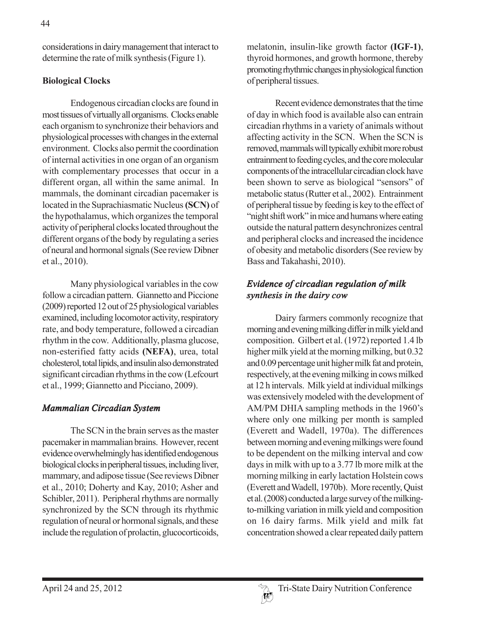considerations in dairy management that interact to determine the rate of milk synthesis (Figure 1).

# **Biological Clocks**

Endogenous circadian clocks are found in most tissues of virtually all organisms. Clocks enable each organism to synchronize their behaviors and physiological processes with changes in the external environment. Clocks also permit the coordination of internal activities in one organ of an organism with complementary processes that occur in a different organ, all within the same animal. In mammals, the dominant circadian pacemaker is located in the Suprachiasmatic Nucleus **(SCN)** of the hypothalamus, which organizes the temporal activity of peripheral clocks located throughout the different organs of the body by regulating a series of neural and hormonal signals (See review Dibner et al., 2010).

Many physiological variables in the cow follow a circadian pattern. Giannetto and Piccione (2009) reported 12 out of 25 physiological variables examined, including locomotor activity, respiratory rate, and body temperature, followed a circadian rhythm in the cow. Additionally, plasma glucose, non-esterified fatty acids **(NEFA)**, urea, total cholesterol, total lipids, and insulin also demonstrated significant circadian rhythms in the cow (Lefcourt et al., 1999; Giannetto and Picciano, 2009).

### *Mammalian Circadian System*

The SCN in the brain serves as the master pacemaker in mammalian brains. However, recent evidence overwhelmingly has identified endogenous biological clocks in peripheral tissues, including liver, mammary, and adipose tissue (See reviews Dibner et al., 2010; Doherty and Kay, 2010; Asher and Schibler, 2011). Peripheral rhythms are normally synchronized by the SCN through its rhythmic regulation of neural or hormonal signals, and these include the regulation of prolactin, glucocorticoids,

melatonin, insulin-like growth factor **(IGF-1)**, thyroid hormones, and growth hormone, thereby promoting rhythmic changes in physiological function of peripheral tissues.

Recent evidence demonstrates that the time of day in which food is available also can entrain circadian rhythms in a variety of animals without affecting activity in the SCN. When the SCN is removed, mammals will typically exhibit more robust entrainment to feeding cycles, and the core molecular components of the intracellular circadian clock have been shown to serve as biological "sensors" of metabolic status (Rutter et al., 2002). Entrainment of peripheral tissue by feeding is key to the effect of "night shift work" in mice and humans where eating outside the natural pattern desynchronizes central and peripheral clocks and increased the incidence of obesity and metabolic disorders (See review by Bass and Takahashi, 2010).

# *Evidence of circadian regulation of milk synthesis in the dairy cow*

Dairy farmers commonly recognize that morning and evening milking differ in milk yield and composition. Gilbert et al. (1972) reported 1.4 lb higher milk yield at the morning milking, but 0.32 and 0.09 percentage unit higher milk fat and protein, respectively, at the evening milking in cows milked at 12 h intervals. Milk yield at individual milkings was extensively modeled with the development of AM/PM DHIA sampling methods in the 1960's where only one milking per month is sampled (Everett and Wadell, 1970a). The differences between morning and evening milkings were found to be dependent on the milking interval and cow days in milk with up to a 3.77 lb more milk at the morning milking in early lactation Holstein cows (Everett and Wadell, 1970b). More recently, Quist et al. (2008) conducted a large survey of the milkingto-milking variation in milk yield and composition on 16 dairy farms. Milk yield and milk fat concentration showed a clear repeated daily pattern

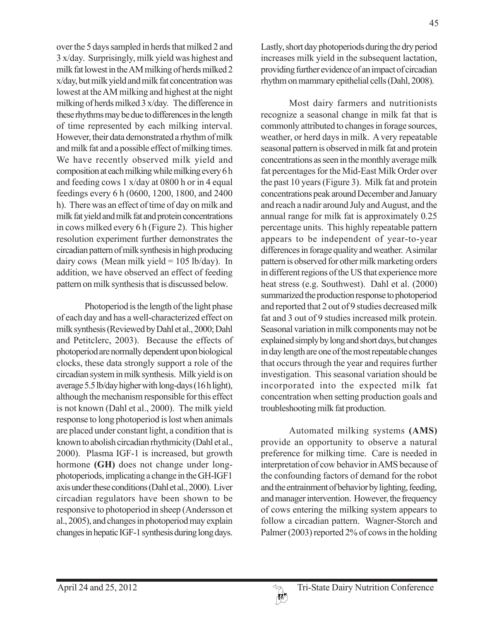over the 5 days sampled in herds that milked 2 and 3 x/day. Surprisingly, milk yield was highest and milk fat lowest in the AM milking of herds milked 2 x/day, but milk yield and milk fat concentration was lowest at the AM milking and highest at the night milking of herds milked 3 x/day. The difference in these rhythms may be due to differences in the length of time represented by each milking interval. However, their data demonstrated a rhythm of milk and milk fat and a possible effect of milking times. We have recently observed milk yield and composition at each milking while milking every 6 h and feeding cows 1 x/day at 0800 h or in 4 equal feedings every 6 h (0600, 1200, 1800, and 2400 h). There was an effect of time of day on milk and milk fat yield and milk fat and protein concentrations in cows milked every 6 h (Figure 2). This higher resolution experiment further demonstrates the circadian pattern of milk synthesis in high producing dairy cows (Mean milk yield =  $105$  lb/day). In addition, we have observed an effect of feeding pattern on milk synthesis that is discussed below.

Photoperiod is the length of the light phase of each day and has a well-characterized effect on milk synthesis (Reviewed by Dahl et al., 2000; Dahl and Petitclerc, 2003). Because the effects of photoperiod are normally dependent upon biological clocks, these data strongly support a role of the circadian system in milk synthesis. Milk yield is on average 5.5 lb/day higher with long-days (16 h light), although the mechanism responsible for this effect is not known (Dahl et al., 2000). The milk yield response to long photoperiod is lost when animals are placed under constant light, a condition that is known to abolish circadian rhythmicity (Dahl et al., 2000). Plasma IGF-1 is increased, but growth hormone **(GH)** does not change under longphotoperiods, implicating a change in the GH-IGF1 axis under these conditions (Dahl et al., 2000). Liver circadian regulators have been shown to be responsive to photoperiod in sheep (Andersson et al., 2005), and changes in photoperiod may explain changes in hepatic IGF-1 synthesis during long days.

Lastly, short day photoperiods during the dry period increases milk yield in the subsequent lactation, providing further evidence of an impact of circadian rhythm on mammary epithelial cells (Dahl, 2008).

Most dairy farmers and nutritionists recognize a seasonal change in milk fat that is commonly attributed to changes in forage sources, weather, or herd days in milk. A very repeatable seasonal pattern is observed in milk fat and protein concentrations as seen in the monthly average milk fat percentages for the Mid-East Milk Order over the past 10 years (Figure 3). Milk fat and protein concentrations peak around December and January and reach a nadir around July and August, and the annual range for milk fat is approximately 0.25 percentage units. This highly repeatable pattern appears to be independent of year-to-year differences in forage quality and weather. A similar pattern is observed for other milk marketing orders in different regions of the US that experience more heat stress (e.g. Southwest). Dahl et al. (2000) summarized the production response to photoperiod and reported that 2 out of 9 studies decreased milk fat and 3 out of 9 studies increased milk protein. Seasonal variation in milk components may not be explained simply by long and short days, but changes in day length are one of the most repeatable changes that occurs through the year and requires further investigation. This seasonal variation should be incorporated into the expected milk fat concentration when setting production goals and troubleshooting milk fat production.

Automated milking systems **(AMS)** provide an opportunity to observe a natural preference for milking time. Care is needed in interpretation of cow behavior in AMS because of the confounding factors of demand for the robot and the entrainment of behavior by lighting, feeding, and manager intervention. However, the frequency of cows entering the milking system appears to follow a circadian pattern. Wagner-Storch and Palmer (2003) reported 2% of cows in the holding

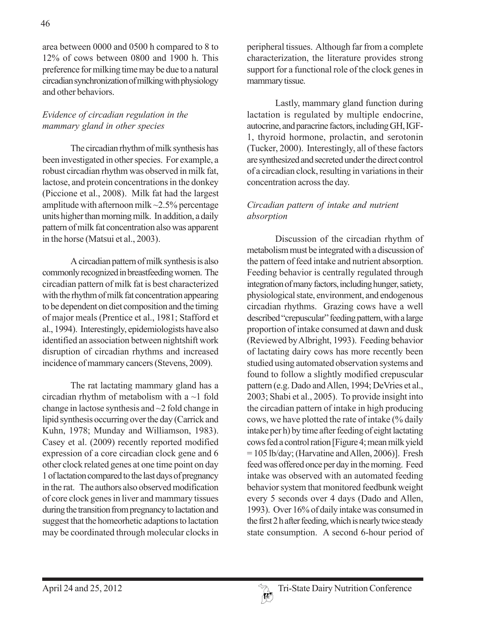area between 0000 and 0500 h compared to 8 to 12% of cows between 0800 and 1900 h. This preference for milking time may be due to a natural circadian synchronization of milking with physiology and other behaviors.

# *Evidence of circadian regulation in the mammary gland in other species*

The circadian rhythm of milk synthesis has been investigated in other species. For example, a robust circadian rhythm was observed in milk fat, lactose, and protein concentrations in the donkey (Piccione et al., 2008). Milk fat had the largest amplitude with afternoon milk  $\sim$ 2.5% percentage units higher than morning milk. In addition, a daily pattern of milk fat concentration also was apparent in the horse (Matsui et al., 2003).

A circadian pattern of milk synthesis is also commonly recognized in breastfeeding women. The circadian pattern of milk fat is best characterized with the rhythm of milk fat concentration appearing to be dependent on diet composition and the timing of major meals (Prentice et al., 1981; Stafford et al., 1994). Interestingly, epidemiologists have also identified an association between nightshift work disruption of circadian rhythms and increased incidence of mammary cancers (Stevens, 2009).

The rat lactating mammary gland has a circadian rhythm of metabolism with a  $\sim$ 1 fold change in lactose synthesis and ~2 fold change in lipid synthesis occurring over the day (Carrick and Kuhn, 1978; Munday and Williamson, 1983). Casey et al. (2009) recently reported modified expression of a core circadian clock gene and 6 other clock related genes at one time point on day 1 of lactation compared to the last days of pregnancy in the rat. The authors also observed modification of core clock genes in liver and mammary tissues during the transition from pregnancy to lactation and suggest that the homeorhetic adaptions to lactation may be coordinated through molecular clocks in

peripheral tissues. Although far from a complete characterization, the literature provides strong support for a functional role of the clock genes in mammary tissue.

Lastly, mammary gland function during lactation is regulated by multiple endocrine, autocrine, and paracrine factors, including GH, IGF-1, thyroid hormone, prolactin, and serotonin (Tucker, 2000). Interestingly, all of these factors are synthesized and secreted under the direct control of a circadian clock, resulting in variations in their concentration across the day.

# *Circadian pattern of intake and nutrient absorption*

Discussion of the circadian rhythm of metabolism must be integrated with a discussion of the pattern of feed intake and nutrient absorption. Feeding behavior is centrally regulated through integration of many factors, including hunger, satiety, physiological state, environment, and endogenous circadian rhythms. Grazing cows have a well described "crepuscular" feeding pattern, with a large proportion of intake consumed at dawn and dusk (Reviewed by Albright, 1993). Feeding behavior of lactating dairy cows has more recently been studied using automated observation systems and found to follow a slightly modified crepuscular pattern (e.g. Dado and Allen, 1994; DeVries et al., 2003; Shabi et al., 2005). To provide insight into the circadian pattern of intake in high producing cows, we have plotted the rate of intake (% daily intake per h) by time after feeding of eight lactating cows fed a control ration [Figure 4; mean milk yield = 105 lb/day; (Harvatine and Allen, 2006)]. Fresh feed was offered once per day in the morning. Feed intake was observed with an automated feeding behavior system that monitored feedbunk weight every 5 seconds over 4 days (Dado and Allen, 1993). Over 16% of daily intake was consumed in the first 2 h after feeding, which is nearly twice steady state consumption. A second 6-hour period of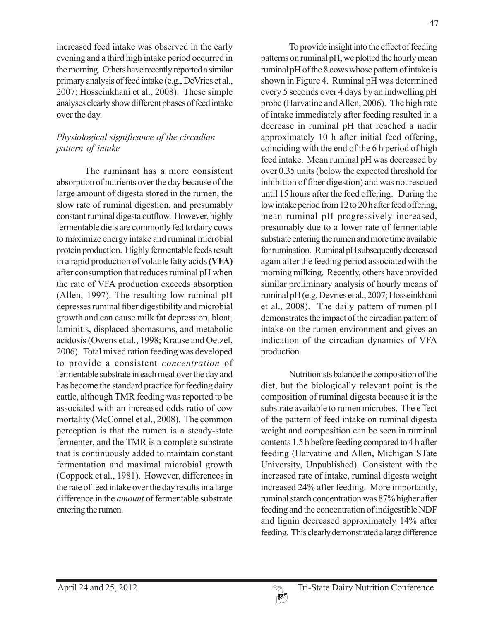increased feed intake was observed in the early evening and a third high intake period occurred in the morning. Others have recently reported a similar primary analysis of feed intake (e.g., DeVries et al., 2007; Hosseinkhani et al., 2008). These simple analyses clearly show different phases of feed intake over the day.

# *Physiological significance of the circadian pattern of intake*

The ruminant has a more consistent absorption of nutrients over the day because of the large amount of digesta stored in the rumen, the slow rate of ruminal digestion, and presumably constant ruminal digesta outflow. However, highly fermentable diets are commonly fed to dairy cows to maximize energy intake and ruminal microbial protein production. Highly fermentable feeds result in a rapid production of volatile fatty acids **(VFA)** after consumption that reduces ruminal pH when the rate of VFA production exceeds absorption (Allen, 1997). The resulting low ruminal pH depresses ruminal fiber digestibility and microbial growth and can cause milk fat depression, bloat, laminitis, displaced abomasums, and metabolic acidosis (Owens et al., 1998; Krause and Oetzel, 2006). Total mixed ration feeding was developed to provide a consistent *concentration* of fermentable substrate in each meal over the day and has become the standard practice for feeding dairy cattle, although TMR feeding was reported to be associated with an increased odds ratio of cow mortality (McConnel et al., 2008). The common perception is that the rumen is a steady-state fermenter, and the TMR is a complete substrate that is continuously added to maintain constant fermentation and maximal microbial growth (Coppock et al., 1981). However, differences in the rate of feed intake over the day results in a large difference in the *amount* of fermentable substrate entering the rumen.

To provide insight into the effect of feeding patterns on ruminal pH, we plotted the hourly mean ruminal pH of the 8 cows whose pattern of intake is shown in Figure 4. Ruminal pH was determined every 5 seconds over 4 days by an indwelling pH probe (Harvatine and Allen, 2006). The high rate of intake immediately after feeding resulted in a decrease in ruminal pH that reached a nadir approximately 10 h after initial feed offering, coinciding with the end of the 6 h period of high feed intake. Mean ruminal pH was decreased by over 0.35 units (below the expected threshold for inhibition of fiber digestion) and was not rescued until 15 hours after the feed offering. During the low intake period from 12 to 20 h after feed offering, mean ruminal pH progressively increased, presumably due to a lower rate of fermentable substrate entering the rumen and more time available for rumination. Ruminal pH subsequently decreased again after the feeding period associated with the morning milking. Recently, others have provided similar preliminary analysis of hourly means of ruminal pH (e.g. Devries et al., 2007; Hosseinkhani et al., 2008). The daily pattern of rumen pH demonstrates the impact of the circadian pattern of intake on the rumen environment and gives an indication of the circadian dynamics of VFA production.

Nutritionists balance the composition of the diet, but the biologically relevant point is the composition of ruminal digesta because it is the substrate available to rumen microbes. The effect of the pattern of feed intake on ruminal digesta weight and composition can be seen in ruminal contents 1.5 h before feeding compared to 4 h after feeding (Harvatine and Allen, Michigan STate University, Unpublished). Consistent with the increased rate of intake, ruminal digesta weight increased 24% after feeding. More importantly, ruminal starch concentration was 87% higher after feeding and the concentration of indigestible NDF and lignin decreased approximately 14% after feeding. This clearly demonstrated a large difference

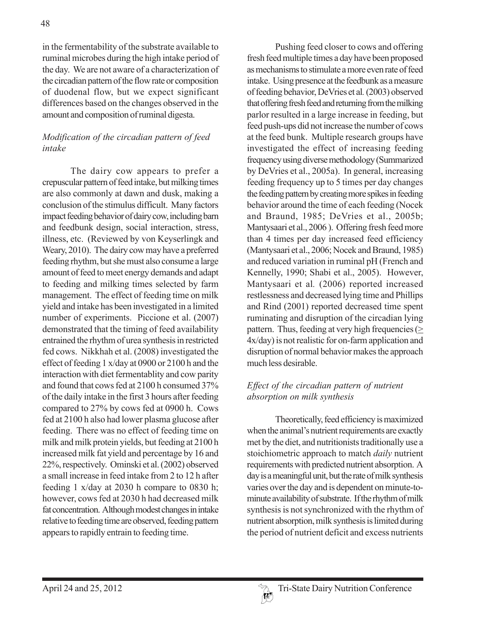in the fermentability of the substrate available to ruminal microbes during the high intake period of the day. We are not aware of a characterization of the circadian pattern of the flow rate or composition of duodenal flow, but we expect significant differences based on the changes observed in the amount and composition of ruminal digesta.

# *Modification of the circadian pattern of feed intake*

The dairy cow appears to prefer a crepuscular pattern of feed intake, but milking times are also commonly at dawn and dusk, making a conclusion of the stimulus difficult. Many factors impact feeding behavior of dairy cow, including barn and feedbunk design, social interaction, stress, illness, etc. (Reviewed by von Keyserlingk and Weary, 2010). The dairy cow may have a preferred feeding rhythm, but she must also consume a large amount of feed to meet energy demands and adapt to feeding and milking times selected by farm management. The effect of feeding time on milk yield and intake has been investigated in a limited number of experiments. Piccione et al. (2007) demonstrated that the timing of feed availability entrained the rhythm of urea synthesis in restricted fed cows. Nikkhah et al. (2008) investigated the effect of feeding 1 x/day at 0900 or 2100 h and the interaction with diet fermentablity and cow parity and found that cows fed at 2100 h consumed 37% of the daily intake in the first 3 hours after feeding compared to 27% by cows fed at 0900 h. Cows fed at 2100 h also had lower plasma glucose after feeding. There was no effect of feeding time on milk and milk protein yields, but feeding at 2100 h increased milk fat yield and percentage by 16 and 22%, respectively. Ominski et al. (2002) observed a small increase in feed intake from 2 to 12 h after feeding 1 x/day at 2030 h compare to 0830 h; however, cows fed at 2030 h had decreased milk fat concentration. Although modest changes in intake relative to feeding time are observed, feeding pattern appears to rapidly entrain to feeding time.

Pushing feed closer to cows and offering fresh feed multiple times a day have been proposed as mechanisms to stimulate a more even rate of feed intake. Using presence at the feedbunk as a measure of feeding behavior, DeVries et al*.* (2003) observed that offering fresh feed and returning from the milking parlor resulted in a large increase in feeding, but feed push-ups did not increase the number of cows at the feed bunk. Multiple research groups have investigated the effect of increasing feeding frequency using diverse methodology (Summarized by DeVries et al., 2005a). In general, increasing feeding frequency up to 5 times per day changes the feeding pattern by creating more spikes in feeding behavior around the time of each feeding (Nocek and Braund, 1985; DeVries et al., 2005b; Mantysaari et al., 2006 ). Offering fresh feed more than 4 times per day increased feed efficiency (Mantysaari et al., 2006; Nocek and Braund, 1985) and reduced variation in ruminal pH (French and Kennelly, 1990; Shabi et al., 2005). However, Mantysaari et al*.* (2006) reported increased restlessness and decreased lying time and Phillips and Rind (2001) reported decreased time spent ruminating and disruption of the circadian lying pattern. Thus, feeding at very high frequencies (> 4x/day) is not realistic for on-farm application and disruption of normal behavior makes the approach much less desirable.

### *Effect of the circadian pattern of nutrient absorption on milk synthesis*

Theoretically, feed efficiency is maximized when the animal's nutrient requirements are exactly met by the diet, and nutritionists traditionally use a stoichiometric approach to match *daily* nutrient requirements with predicted nutrient absorption. A day is a meaningful unit, but the rate of milk synthesis varies over the day and is dependent on minute-tominute availability of substrate. If the rhythm of milk synthesis is not synchronized with the rhythm of nutrient absorption, milk synthesis is limited during the period of nutrient deficit and excess nutrients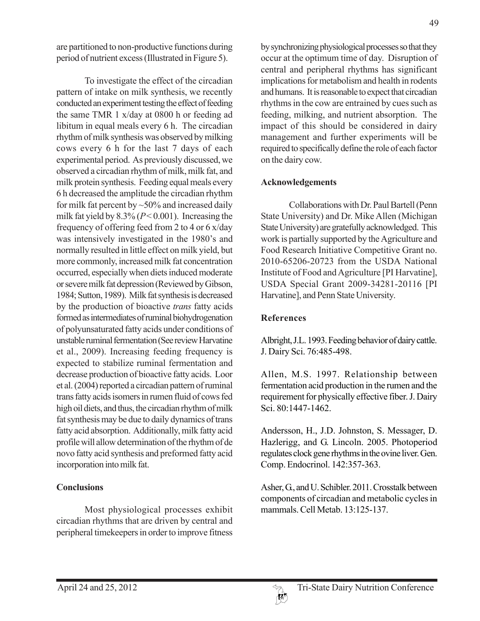are partitioned to non-productive functions during period of nutrient excess (Illustrated in Figure 5).

To investigate the effect of the circadian pattern of intake on milk synthesis, we recently conducted an experiment testing the effect of feeding the same TMR 1 x/day at 0800 h or feeding ad libitum in equal meals every 6 h. The circadian rhythm of milk synthesis was observed by milking cows every 6 h for the last 7 days of each experimental period. As previously discussed, we observed a circadian rhythm of milk, milk fat, and milk protein synthesis. Feeding equal meals every 6 h decreased the amplitude the circadian rhythm for milk fat percent by  $\sim$  50% and increased daily milk fat yield by  $8.3\%$  ( $P < 0.001$ ). Increasing the frequency of offering feed from 2 to 4 or 6 x/day was intensively investigated in the 1980's and normally resulted in little effect on milk yield, but more commonly, increased milk fat concentration occurred, especially when diets induced moderate or severe milk fat depression (Reviewed by Gibson, 1984; Sutton, 1989). Milk fat synthesis is decreased by the production of bioactive *trans* fatty acids formed as intermediates of ruminal biohydrogenation of polyunsaturated fatty acids under conditions of unstable ruminal fermentation (See review Harvatine et al., 2009). Increasing feeding frequency is expected to stabilize ruminal fermentation and decrease production of bioactive fatty acids. Loor et al. (2004) reported a circadian pattern of ruminal trans fatty acids isomers in rumen fluid of cows fed high oil diets, and thus, the circadian rhythm of milk fat synthesis may be due to daily dynamics of trans fatty acid absorption. Additionally, milk fatty acid profile will allow determination of the rhythm of de novo fatty acid synthesis and preformed fatty acid incorporation into milk fat.

### **Conclusions**

Most physiological processes exhibit circadian rhythms that are driven by central and peripheral timekeepers in order to improve fitness

by synchronizing physiological processes so that they occur at the optimum time of day. Disruption of central and peripheral rhythms has significant implications for metabolism and health in rodents and humans. It is reasonable to expect that circadian rhythms in the cow are entrained by cues such as feeding, milking, and nutrient absorption. The impact of this should be considered in dairy management and further experiments will be required to specifically define the role of each factor on the dairy cow.

#### **Acknowledgements**

Collaborations with Dr. Paul Bartell (Penn State University) and Dr. Mike Allen (Michigan State University) are gratefully acknowledged. This work is partially supported by the Agriculture and Food Research Initiative Competitive Grant no. 2010-65206-20723 from the USDA National Institute of Food and Agriculture [PI Harvatine], USDA Special Grant 2009-34281-20116 [PI Harvatine], and Penn State University.

# **References**

Albright, J.L. 1993. Feeding behavior of dairy cattle. J. Dairy Sci. 76:485-498.

Allen, M.S. 1997. Relationship between fermentation acid production in the rumen and the requirement for physically effective fiber. J. Dairy Sci. 80:1447-1462.

Andersson, H., J.D. Johnston, S. Messager, D. Hazlerigg, and G. Lincoln. 2005. Photoperiod regulates clock gene rhythms in the ovine liver. Gen. Comp. Endocrinol. 142:357-363.

Asher, G., and U. Schibler. 2011. Crosstalk between components of circadian and metabolic cycles in mammals. Cell Metab. 13:125-137.

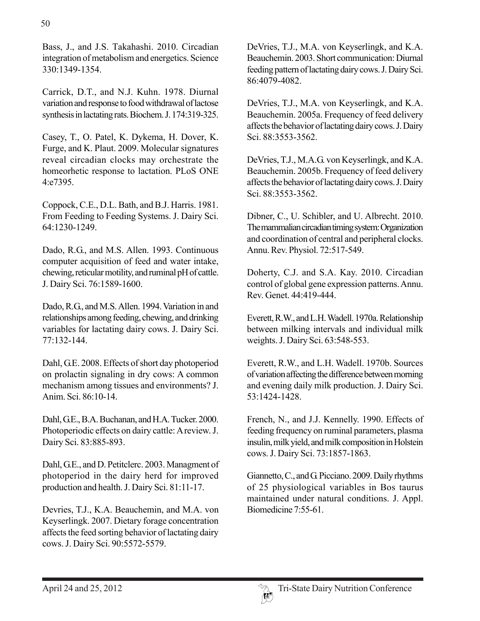50

330:1349-1354.

Carrick, D.T., and N.J. Kuhn. 1978. Diurnal variation and response to food withdrawal of lactose synthesis in lactating rats. Biochem. J. 174:319-325.

Casey, T., O. Patel, K. Dykema, H. Dover, K. Furge, and K. Plaut. 2009. Molecular signatures reveal circadian clocks may orchestrate the homeorhetic response to lactation. PLoS ONE 4:e7395.

Coppock, C.E., D.L. Bath, and B.J. Harris. 1981. From Feeding to Feeding Systems. J. Dairy Sci. 64:1230-1249.

Dado, R.G., and M.S. Allen. 1993. Continuous computer acquisition of feed and water intake, chewing, reticular motility, and ruminal pH of cattle. J. Dairy Sci. 76:1589-1600.

Dado, R.G., and M.S. Allen. 1994. Variation in and relationships among feeding, chewing, and drinking variables for lactating dairy cows. J. Dairy Sci. 77:132-144.

Dahl, G.E. 2008. Effects of short day photoperiod on prolactin signaling in dry cows: A common mechanism among tissues and environments? J. Anim. Sci. 86:10-14.

Dahl, G.E., B.A. Buchanan, and H.A. Tucker. 2000. Photoperiodic effects on dairy cattle: A review. J. Dairy Sci. 83:885-893.

Dahl, G.E., and D. Petitclerc. 2003. Managment of photoperiod in the dairy herd for improved production and health. J. Dairy Sci. 81:11-17.

Devries, T.J., K.A. Beauchemin, and M.A. von Keyserlingk. 2007. Dietary forage concentration affects the feed sorting behavior of lactating dairy cows. J. Dairy Sci. 90:5572-5579.

DeVries, T.J., M.A. von Keyserlingk, and K.A. Beauchemin. 2003. Short communication: Diurnal feeding pattern of lactating dairy cows. J. Dairy Sci. 86:4079-4082.

DeVries, T.J., M.A. von Keyserlingk, and K.A. Beauchemin. 2005a. Frequency of feed delivery affects the behavior of lactating dairy cows. J. Dairy Sci. 88:3553-3562.

DeVries, T.J., M.A.G. von Keyserlingk, and K.A. Beauchemin. 2005b. Frequency of feed delivery affects the behavior of lactating dairy cows. J. Dairy Sci. 88:3553-3562.

Dibner, C., U. Schibler, and U. Albrecht. 2010. The mammalian circadian timing system: Organization and coordination of central and peripheral clocks. Annu. Rev. Physiol. 72:517-549.

Doherty, C.J. and S.A. Kay. 2010. Circadian control of global gene expression patterns. Annu. Rev. Genet. 44:419-444.

Everett, R.W., and L.H. Wadell. 1970a. Relationship between milking intervals and individual milk weights. J. Dairy Sci. 63:548-553.

Everett, R.W., and L.H. Wadell. 1970b. Sources of variation affecting the difference between morning and evening daily milk production. J. Dairy Sci. 53:1424-1428.

French, N., and J.J. Kennelly. 1990. Effects of feeding frequency on ruminal parameters, plasma insulin, milk yield, and milk composition in Holstein cows. J. Dairy Sci. 73:1857-1863.

Giannetto, C., and G. Picciano. 2009. Daily rhythms of 25 physiological variables in Bos taurus maintained under natural conditions. J. Appl. Biomedicine 7:55-61.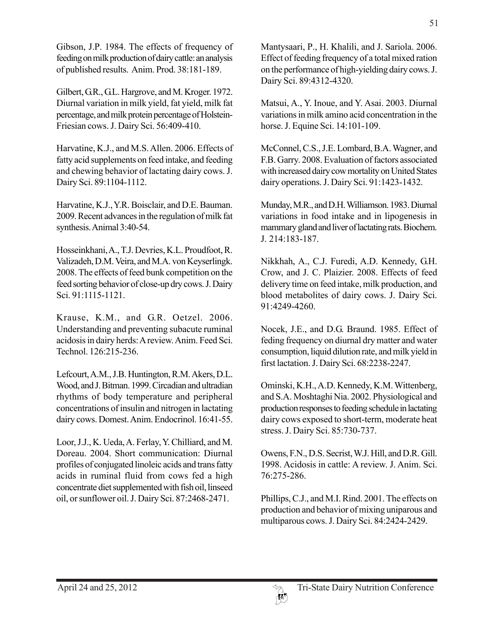Gibson, J.P. 1984. The effects of frequency of feeding on milk production of dairy cattle: an analysis of published results. Anim. Prod. 38:181-189.

Gilbert, G.R., G.L. Hargrove, and M. Kroger. 1972. Diurnal variation in milk yield, fat yield, milk fat percentage, and milk protein percentage of Holstein-Friesian cows. J. Dairy Sci. 56:409-410.

Harvatine, K.J., and M.S. Allen. 2006. Effects of fatty acid supplements on feed intake, and feeding and chewing behavior of lactating dairy cows. J. Dairy Sci. 89:1104-1112.

Harvatine, K.J., Y.R. Boisclair, and D.E. Bauman. 2009. Recent advances in the regulation of milk fat synthesis. Animal 3:40-54.

Hosseinkhani, A., T.J. Devries, K.L. Proudfoot, R. Valizadeh, D.M. Veira, and M.A. von Keyserlingk. 2008. The effects of feed bunk competition on the feed sorting behavior of close-up dry cows. J. Dairy Sci. 91:1115-1121.

Krause, K.M., and G.R. Oetzel. 2006. Understanding and preventing subacute ruminal acidosis in dairy herds: A review. Anim. Feed Sci. Technol. 126:215-236.

Lefcourt, A.M., J.B. Huntington, R.M. Akers, D.L. Wood, and J. Bitman. 1999. Circadian and ultradian rhythms of body temperature and peripheral concentrations of insulin and nitrogen in lactating dairy cows. Domest. Anim. Endocrinol. 16:41-55.

Loor, J.J., K. Ueda, A. Ferlay, Y. Chilliard, and M. Doreau. 2004. Short communication: Diurnal profiles of conjugated linoleic acids and trans fatty acids in ruminal fluid from cows fed a high concentrate diet supplemented with fish oil, linseed oil, or sunflower oil. J. Dairy Sci. 87:2468-2471.

Mantysaari, P., H. Khalili, and J. Sariola. 2006. Effect of feeding frequency of a total mixed ration on the performance of high-yielding dairy cows. J. Dairy Sci. 89:4312-4320.

Matsui, A., Y. Inoue, and Y. Asai. 2003. Diurnal variations in milk amino acid concentration in the horse. J. Equine Sci. 14:101-109.

McConnel, C.S., J.E. Lombard, B.A. Wagner, and F.B. Garry. 2008. Evaluation of factors associated with increased dairy cow mortality on United States dairy operations. J. Dairy Sci. 91:1423-1432.

Munday, M.R., and D.H. Williamson. 1983. Diurnal variations in food intake and in lipogenesis in mammary gland and liver of lactating rats. Biochem. J. 214:183-187.

Nikkhah, A., C.J. Furedi, A.D. Kennedy, G.H. Crow, and J. C. Plaizier. 2008. Effects of feed delivery time on feed intake, milk production, and blood metabolites of dairy cows. J. Dairy Sci. 91:4249-4260.

Nocek, J.E., and D.G. Braund. 1985. Effect of feding frequency on diurnal dry matter and water consumption, liquid dilution rate, and milk yield in first lactation. J. Dairy Sci. 68:2238-2247.

Ominski, K.H., A.D. Kennedy, K.M. Wittenberg, and S.A. Moshtaghi Nia. 2002. Physiological and production responses to feeding schedule in lactating dairy cows exposed to short-term, moderate heat stress. J. Dairy Sci. 85:730-737.

Owens, F.N., D.S. Secrist, W.J. Hill, and D.R. Gill. 1998. Acidosis in cattle: A review. J. Anim. Sci. 76:275-286.

Phillips, C.J., and M.I. Rind. 2001. The effects on production and behavior of mixing uniparous and multiparous cows. J. Dairy Sci. 84:2424-2429.

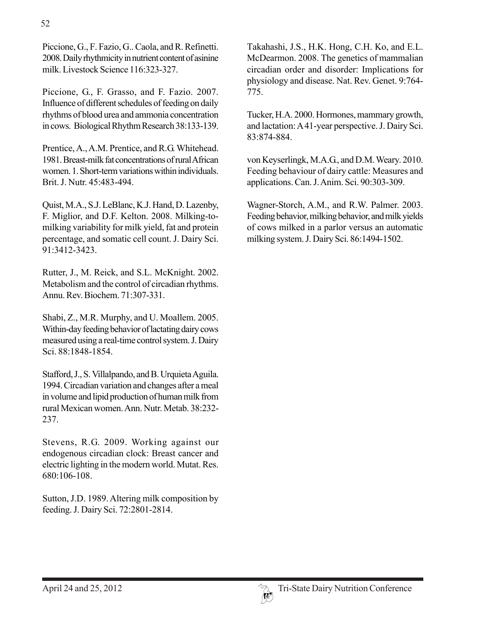Piccione, G., F. Fazio, G.. Caola, and R. Refinetti. 2008. Daily rhythmicity in nutrient content of asinine milk. Livestock Science 116:323-327.

Piccione, G., F. Grasso, and F. Fazio. 2007. Influence of different schedules of feeding on daily rhythms of blood urea and ammonia concentration in cows. Biological Rhythm Research 38:133-139.

Prentice, A., A.M. Prentice, and R.G. Whitehead. 1981. Breast-milk fat concentrations of rural African women. 1. Short-term variations within individuals. Brit. J. Nutr. 45:483-494.

Quist, M.A., S.J. LeBlanc, K.J. Hand, D. Lazenby, F. Miglior, and D.F. Kelton. 2008. Milking-tomilking variability for milk yield, fat and protein percentage, and somatic cell count. J. Dairy Sci. 91:3412-3423.

Rutter, J., M. Reick, and S.L. McKnight. 2002. Metabolism and the control of circadian rhythms. Annu. Rev. Biochem. 71:307-331.

Shabi, Z., M.R. Murphy, and U. Moallem. 2005. Within-day feeding behavior of lactating dairy cows measured using a real-time control system. J. Dairy Sci. 88:1848-1854.

Stafford, J., S. Villalpando, and B. Urquieta Aguila. 1994. Circadian variation and changes after a meal in volume and lipid production of human milk from rural Mexican women. Ann. Nutr. Metab. 38:232- 237.

Stevens, R.G. 2009. Working against our endogenous circadian clock: Breast cancer and electric lighting in the modern world. Mutat. Res. 680:106-108.

Sutton, J.D. 1989. Altering milk composition by feeding. J. Dairy Sci. 72:2801-2814.

Takahashi, J.S., H.K. Hong, C.H. Ko, and E.L. McDearmon. 2008. The genetics of mammalian circadian order and disorder: Implications for physiology and disease. Nat. Rev. Genet. 9:764- 775.

Tucker, H.A. 2000. Hormones, mammary growth, and lactation: A 41-year perspective. J. Dairy Sci. 83:874-884.

von Keyserlingk, M.A.G., and D.M. Weary. 2010. Feeding behaviour of dairy cattle: Measures and applications. Can. J. Anim. Sci. 90:303-309.

Wagner-Storch, A.M., and R.W. Palmer. 2003. Feeding behavior, milking behavior, and milk yields of cows milked in a parlor versus an automatic milking system. J. Dairy Sci. 86:1494-1502.

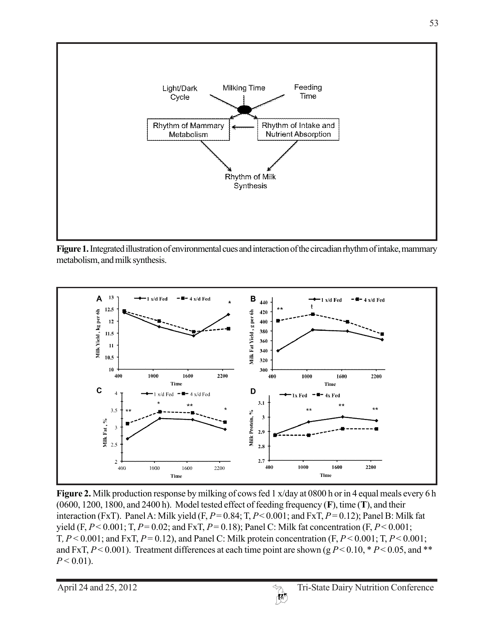

**Figure 1.** Integrated illustration of environmental cues and interaction of the circadian rhythm of intake, mammary metabolism, and milk synthesis.



**Figure 2.** Milk production response by milking of cows fed 1 x/day at 0800 h or in 4 equal meals every 6 h (0600, 1200, 1800, and 2400 h). Model tested effect of feeding frequency (**F**), time (**T**), and their interaction (FxT). Panel A: Milk yield (F, *P* = 0.84; T, *P* < 0.001; and FxT, *P* = 0.12); Panel B: Milk fat yield  $(F, P < 0.001; T, P = 0.02;$  and  $F \times T, P = 0.18$ ); Panel C: Milk fat concentration  $(F, P < 0.001;$ T*, P* < 0.001; and FxT, *P* = 0.12), and Panel C: Milk protein concentration (F, *P* < 0.001; T, *P* < 0.001; and FxT,  $P < 0.001$ ). Treatment differences at each time point are shown (g  $P < 0.10$ , \*  $P < 0.05$ , and \*\*  $P < 0.01$ ).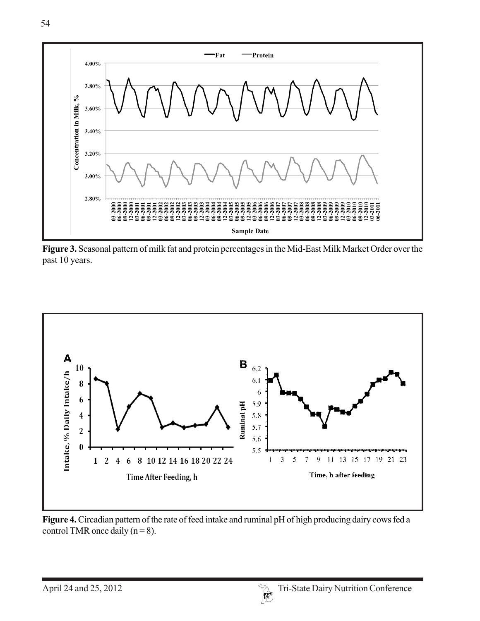

**Figure 3.** Seasonal pattern of milk fat and protein percentages in the Mid-East Milk Market Order over the past 10 years.



**Figure 4.** Circadian pattern of the rate of feed intake and ruminal pH of high producing dairy cows fed a control TMR once daily  $(n = 8)$ .